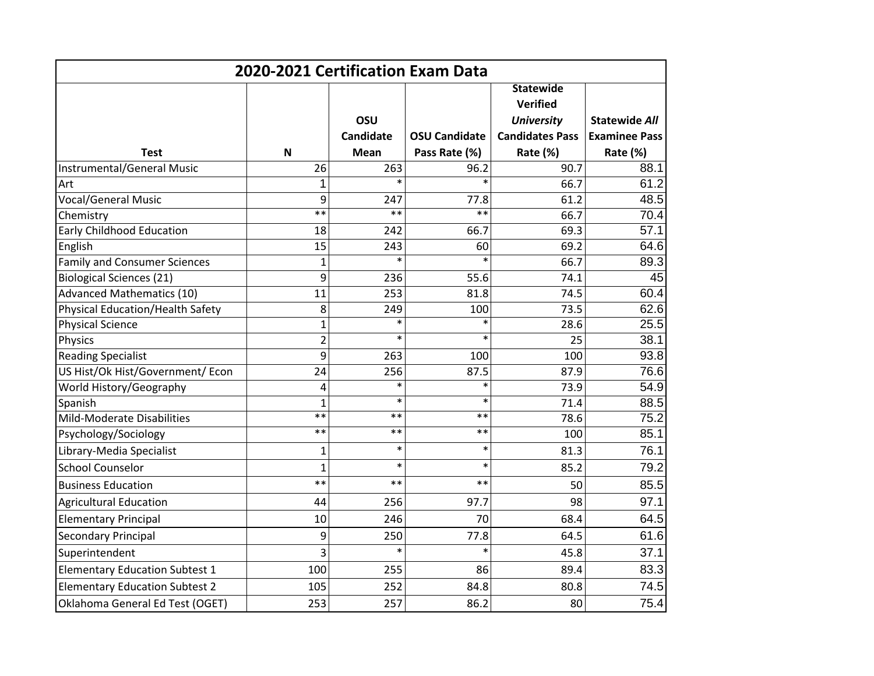| 2020-2021 Certification Exam Data       |                |                  |                      |                        |                      |  |  |  |
|-----------------------------------------|----------------|------------------|----------------------|------------------------|----------------------|--|--|--|
|                                         |                |                  |                      | <b>Statewide</b>       |                      |  |  |  |
|                                         |                |                  |                      | Verified               |                      |  |  |  |
|                                         |                | OSU              |                      | <b>University</b>      | <b>Statewide All</b> |  |  |  |
|                                         |                | <b>Candidate</b> | <b>OSU Candidate</b> | <b>Candidates Pass</b> | <b>Examinee Pass</b> |  |  |  |
| <b>Test</b>                             | N              | <b>Mean</b>      | Pass Rate (%)        | Rate (%)               | Rate (%)             |  |  |  |
| Instrumental/General Music              | 26             | 263              | 96.2                 | 90.7                   | 88.1                 |  |  |  |
| Art                                     | 1              |                  | $\ast$               | 66.7                   | 61.2                 |  |  |  |
| <b>Vocal/General Music</b>              | 9              | 247              | 77.8                 | 61.2                   | 48.5                 |  |  |  |
| Chemistry                               | $**$           | $**$             | $**$                 | 66.7                   | 70.4                 |  |  |  |
| <b>Early Childhood Education</b>        | 18             | 242              | 66.7                 | 69.3                   | 57.1                 |  |  |  |
| English                                 | 15             | 243              | 60                   | 69.2                   | 64.6                 |  |  |  |
| <b>Family and Consumer Sciences</b>     | $\mathbf{1}$   | $\ast$           | $\ast$               | 66.7                   | 89.3                 |  |  |  |
| <b>Biological Sciences (21)</b>         | 9              | 236              | 55.6                 | 74.1                   | 45                   |  |  |  |
| <b>Advanced Mathematics (10)</b>        | 11             | 253              | 81.8                 | 74.5                   | 60.4                 |  |  |  |
| <b>Physical Education/Health Safety</b> | 8              | 249              | 100                  | 73.5                   | 62.6                 |  |  |  |
| <b>Physical Science</b>                 | $\overline{1}$ | $\ast$           | $\ast$               | 28.6                   | 25.5                 |  |  |  |
| Physics                                 | $\overline{2}$ | $\ast$           | $\ast$               | 25                     | 38.1                 |  |  |  |
| <b>Reading Specialist</b>               | 9              | 263              | 100                  | 100                    | 93.8                 |  |  |  |
| US Hist/Ok Hist/Government/ Econ        | 24             | 256              | 87.5                 | 87.9                   | 76.6                 |  |  |  |
| World History/Geography                 | 4              | $\ast$           | $\ast$               | 73.9                   | 54.9                 |  |  |  |
| Spanish                                 | $\overline{1}$ | $\ast$           | $\ast$               | 71.4                   | 88.5                 |  |  |  |
| Mild-Moderate Disabilities              | $***$          | $***$            | $***$                | 78.6                   | 75.2                 |  |  |  |
| Psychology/Sociology                    | $***$          | $***$            | $***$                | 100                    | 85.1                 |  |  |  |
| Library-Media Specialist                | $\mathbf{1}$   | $\ast$           | $\ast$               | 81.3                   | 76.1                 |  |  |  |
| <b>School Counselor</b>                 | 1              | $\ast$           | $\ast$               | 85.2                   | 79.2                 |  |  |  |
| <b>Business Education</b>               | $**$           | $**$             | $**$                 | 50                     | 85.5                 |  |  |  |
| <b>Agricultural Education</b>           | 44             | 256              | 97.7                 | 98                     | 97.1                 |  |  |  |
| <b>Elementary Principal</b>             | 10             | 246              | 70                   | 68.4                   | 64.5                 |  |  |  |
| <b>Secondary Principal</b>              | 9              | 250              | 77.8                 | 64.5                   | 61.6                 |  |  |  |
| Superintendent                          | 3              | $\ast$           | $\ast$               | 45.8                   | 37.1                 |  |  |  |
| <b>Elementary Education Subtest 1</b>   | 100            | 255              | 86                   | 89.4                   | 83.3                 |  |  |  |
| <b>Elementary Education Subtest 2</b>   | 105            | 252              | 84.8                 | 80.8                   | 74.5                 |  |  |  |
| Oklahoma General Ed Test (OGET)         | 253            | 257              | 86.2                 | 80                     | 75.4                 |  |  |  |